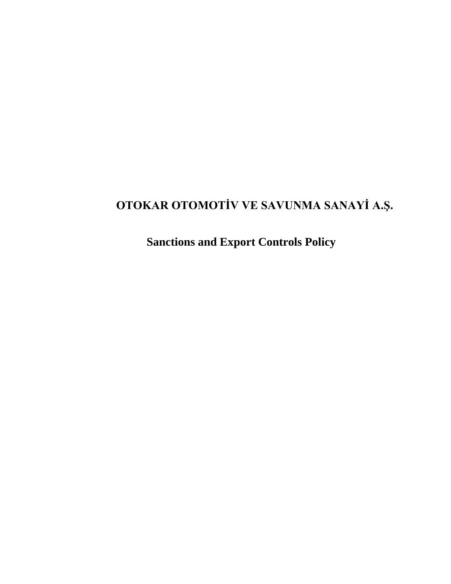# **OTOKAR OTOMOTİV VE SAVUNMA SANAYİ A.Ş.**

**Sanctions and Export Controls Policy**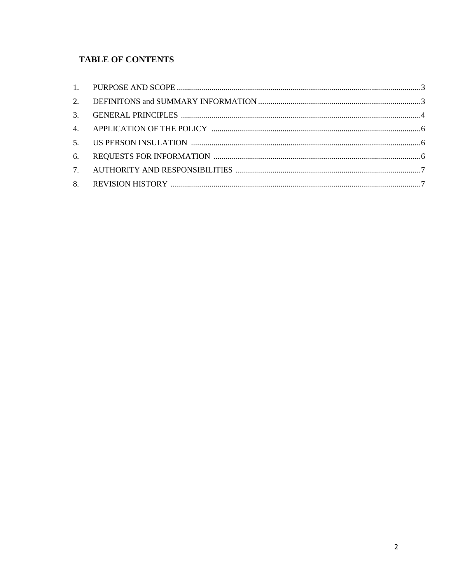# **TABLE OF CONTENTS**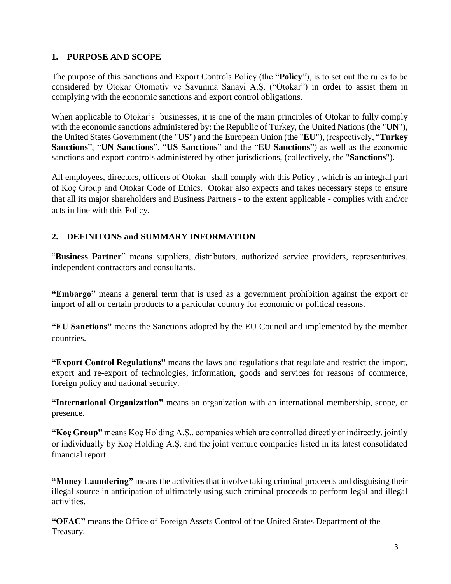#### <span id="page-2-0"></span>**1. PURPOSE AND SCOPE**

The purpose of this Sanctions and Export Controls Policy (the "**Policy**"), is to set out the rules to be considered by Otokar Otomotiv ve Savunma Sanayi A.Ş. ("Otokar") in order to assist them in complying with the economic sanctions and export control obligations.

When applicable to Otokar's businesses, it is one of the main principles of Otokar to fully comply with the economic sanctions administered by: the Republic of Turkey, the United Nations (the "**UN**"), the United States Government (the "**US**") and the European Union (the "**EU**"), (respectively, "**Turkey Sanctions**", "**UN Sanctions**", "**US Sanctions**" and the "**EU Sanctions**") as well as the economic sanctions and export controls administered by other jurisdictions, (collectively, the "**Sanctions**").

All employees, directors, officers of Otokar shall comply with this Policy , which is an integral part of Koç Group and Otokar Code of Ethics. Otokar also expects and takes necessary steps to ensure that all its major shareholders and Business Partners - to the extent applicable - complies with and/or acts in line with this Policy.

### <span id="page-2-1"></span>**2. DEFINITONS and SUMMARY INFORMATION**

"**Business Partner**" means suppliers, distributors, authorized service providers, representatives, independent contractors and consultants.

**"Embargo"** means a general term that is used as a government prohibition against the export or import of all or certain products to a particular country for economic or political reasons.

**"EU Sanctions"** means the Sanctions adopted by the EU Council and implemented by the member countries.

**"Export Control Regulations"** means the laws and regulations that regulate and restrict the import, export and re-export of technologies, information, goods and services for reasons of commerce, foreign policy and national security.

**"International Organization"** means an [organization w](http://www.wikizero.biz/index.php?q=aHR0cHM6Ly9lbi53aWtpcGVkaWEub3JnL3dpa2kvT3JnYW5pemF0aW9u)ith an international membership, scope, or presence.

**"Koç Group"** means Koç Holding A.Ş., companies which are controlled directly or indirectly, jointly or individually by Koç Holding A.Ş. and the joint venture companies listed in its latest consolidated financial report.

**"Money Laundering"** means the activities that involve taking criminal proceeds and disguising their illegal source in anticipation of ultimately using such criminal proceeds to perform legal and illegal activities.

**"OFAC"** means the Office of Foreign Assets Control of the United States Department of the Treasury.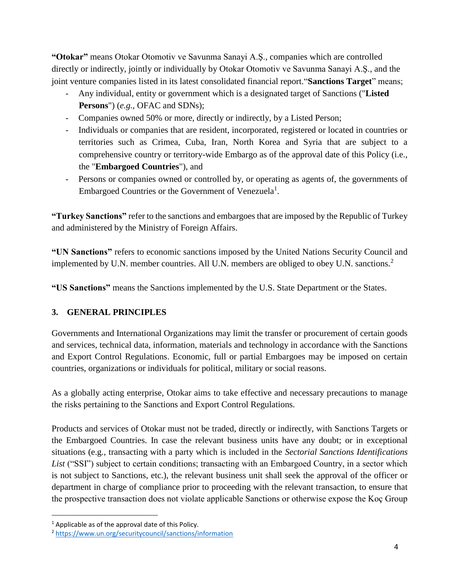**"Otokar"** means Otokar Otomotiv ve Savunma Sanayi A.Ş., companies which are controlled directly or indirectly, jointly or individually by Otokar Otomotiv ve Savunma Sanayi A.Ş., and the joint venture companies listed in its latest consolidated financial report."**Sanctions Target**" means;

- Any individual, entity or government which is a designated target of Sanctions ("**Listed Persons**") (*e.g.,* OFAC and SDNs);
- Companies owned 50% or more, directly or indirectly, by a Listed Person;
- Individuals or companies that are resident, incorporated, registered or located in countries or territories such as Crimea, Cuba, Iran, North Korea and Syria that are subject to a comprehensive country or territory-wide Embargo as of the approval date of this Policy (i.e., the "**Embargoed Countries**"), and
- Persons or companies owned or controlled by, or operating as agents of, the governments of Embargoed Countries or the Government of Venezuela<sup>1</sup>.

**"Turkey Sanctions"** refer to the sanctions and embargoes that are imposed by the Republic of Turkey and administered by the Ministry of Foreign Affairs.

**"UN Sanctions"** refers to economic sanctions imposed by the United Nations Security Council and implemented by U.N. member countries. All U.N. members are obliged to obey U.N. sanctions.<sup>2</sup>

**"US Sanctions"** means the Sanctions implemented by the U.S. State Department or the States.

# <span id="page-3-0"></span>**3. GENERAL PRINCIPLES**

Governments and International Organizations may limit the transfer or procurement of certain goods and services, technical data, information, materials and technology in accordance with the Sanctions and Export Control Regulations. Economic, full or partial Embargoes may be imposed on certain countries, organizations or individuals for political, military or social reasons.

As a globally acting enterprise, Otokar aims to take effective and necessary precautions to manage the risks pertaining to the Sanctions and Export Control Regulations.

Products and services of Otokar must not be traded, directly or indirectly, with Sanctions Targets or the Embargoed Countries. In case the relevant business units have any doubt; or in exceptional situations (e.g., transacting with a party which is included in the *Sectorial Sanctions Identifications*  List ("SSI") subject to certain conditions; transacting with an Embargoed Country, in a sector which is not subject to Sanctions, etc.), the relevant business unit shall seek the approval of the officer or department in charge of compliance prior to proceeding with the relevant transaction, to ensure that the prospective transaction does not violate applicable Sanctions or otherwise expose the Koç Group

÷.

 $1$  Applicable as of the approval date of this Policy.

<sup>2</sup> <https://www.un.org/securitycouncil/sanctions/information>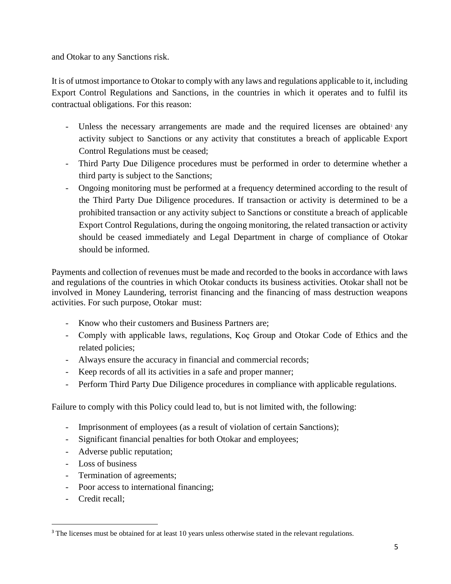and Otokar to any Sanctions risk.

It is of utmost importance to Otokar to comply with any laws and regulations applicable to it, including Export Control Regulations and Sanctions, in the countries in which it operates and to fulfil its contractual obligations. For this reason:

- Unless the necessary arrangements are made and the required licenses are obtained<sup>3</sup> any activity subject to Sanctions or any activity that constitutes a breach of applicable Export Control Regulations must be ceased;
- Third Party Due Diligence procedures must be performed in order to determine whether a third party is subject to the Sanctions;
- Ongoing monitoring must be performed at a frequency determined according to the result of the Third Party Due Diligence procedures. If transaction or activity is determined to be a prohibited transaction or any activity subject to Sanctions or constitute a breach of applicable Export Control Regulations, during the ongoing monitoring, the related transaction or activity should be ceased immediately and Legal Department in charge of compliance of Otokar should be informed.

Payments and collection of revenues must be made and recorded to the books in accordance with laws and regulations of the countries in which Otokar conducts its business activities. Otokar shall not be involved in Money Laundering, terrorist financing and the financing of mass destruction weapons activities. For such purpose, Otokar must:

- Know who their customers and Business Partners are;
- Comply with applicable laws, regulations, Koç Group and Otokar Code of Ethics and the related policies;
- Always ensure the accuracy in financial and commercial records;
- Keep records of all its activities in a safe and proper manner;
- Perform Third Party Due Diligence procedures in compliance with applicable regulations.

Failure to comply with this Policy could lead to, but is not limited with, the following:

- Imprisonment of employees (as a result of violation of certain Sanctions);
- Significant financial penalties for both Otokar and employees;
- Adverse public reputation;
- Loss of business
- Termination of agreements;
- Poor access to international financing;
- Credit recall;

÷.

<sup>&</sup>lt;sup>3</sup> The licenses must be obtained for at least 10 years unless otherwise stated in the relevant regulations.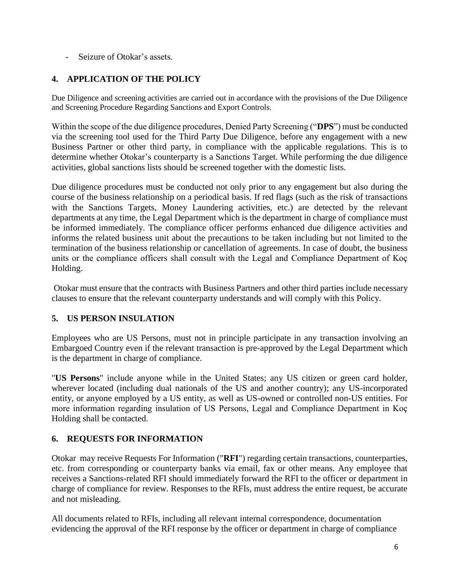Seizure of Otokar's assets.

# <span id="page-5-0"></span>**4. APPLICATION OF THE POLICY**

Due Diligence and screening activities are carried out in accordance with the provisions of the Due Diligence and Screening Procedure Regarding Sanctions and Export Controls.

Within the scope of the due diligence procedures, Denied Party Screening ("**DPS**") must be conducted via the screening tool used for the Third Party Due Diligence, before any engagement with a new Business Partner or other third party, in compliance with the applicable regulations. This is to determine whether Otokar's counterparty is a Sanctions Target. While performing the due diligence activities, global sanctions lists should be screened together with the domestic lists.

Due diligence procedures must be conducted not only prior to any engagement but also during the course of the business relationship on a periodical basis. If red flags (such as the risk of transactions with the Sanctions Targets, Money Laundering activities, etc.) are detected by the relevant departments at any time, the Legal Department which is the department in charge of compliance must be informed immediately. The compliance officer performs enhanced due diligence activities and informs the related business unit about the precautions to be taken including but not limited to the termination of the business relationship or cancellation of agreements. In case of doubt, the business units or the compliance officers shall consult with the Legal and Compliance Department of Koç Holding.

Otokar must ensure that the contracts with Business Partners and other third parties include necessary clauses to ensure that the relevant counterparty understands and will comply with this Policy.

### <span id="page-5-1"></span>**5. US PERSON INSULATION**

Employees who are US Persons, must not in principle participate in any transaction involving an Embargoed Country even if the relevant transaction is pre-approved by the Legal Department which is the department in charge of compliance.

"**US Persons**" include anyone while in the United States; any US citizen or green card holder, wherever located (including dual nationals of the US and another country); any US-incorporated entity, or anyone employed by a US entity, as well as US-owned or controlled non-US entities. For more information regarding insulation of US Persons, Legal and Compliance Department in Koç Holding shall be contacted.

### <span id="page-5-2"></span>**6. REQUESTS FOR INFORMATION**

Otokar may receive Requests For Information ("**RFI**") regarding certain transactions, counterparties, etc. from corresponding or counterparty banks via email, fax or other means. Any employee that receives a Sanctions-related RFI should immediately forward the RFI to the officer or department in charge of compliance for review. Responses to the RFIs, must address the entire request, be accurate and not misleading.

All documents related to RFIs, including all relevant internal correspondence, documentation evidencing the approval of the RFI response by the officer or department in charge of compliance